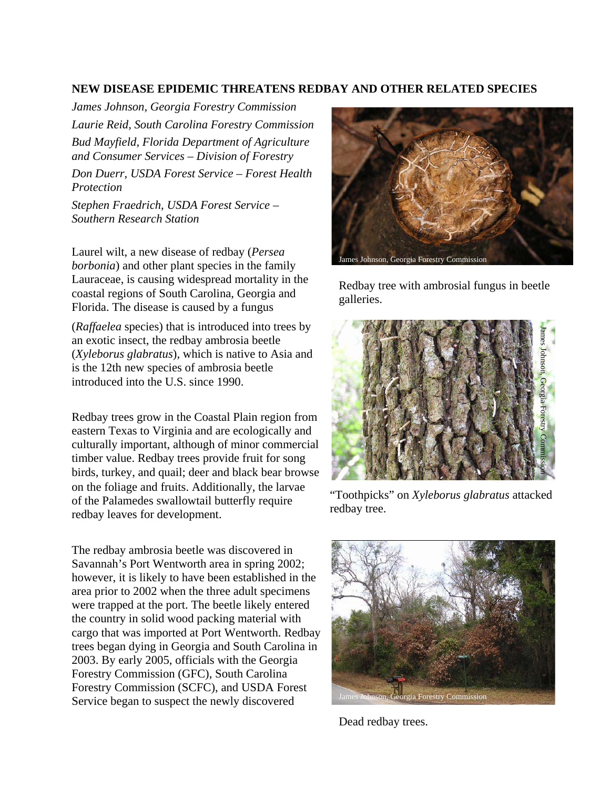## **NEW DISEASE EPIDEMIC THREATENS REDBAY AND OTHER RELATED SPECIES**

*James Johnson, Georgia Forestry Commission Laurie Reid, South Carolina Forestry Commission Bud Mayfield, Florida Department of Agriculture and Consumer Services – Division of Forestry*

*Don Duerr, USDA Forest Service – Forest Health Protection* 

*Stephen Fraedrich, USDA Forest Service – Southern Research Station*

Laurel wilt, a new disease of redbay (*Persea borbonia*) and other plant species in the family Lauraceae, is causing widespread mortality in the coastal regions of South Carolina, Georgia and Florida. The disease is caused by a fungus

(*Raffaelea* species) that is introduced into trees by an exotic insect, the redbay ambrosia beetle (*Xyleborus glabratus*), which is native to Asia and is the 12th new species of ambrosia beetle introduced into the U.S. since 1990.

Redbay trees grow in the Coastal Plain region from eastern Texas to Virginia and are ecologically and culturally important, although of minor commercial timber value. Redbay trees provide fruit for song birds, turkey, and quail; deer and black bear browse on the foliage and fruits. Additionally, the larvae of the Palamedes swallowtail butterfly require redbay leaves for development.

The redbay ambrosia beetle was discovered in Savannah's Port Wentworth area in spring 2002; however, it is likely to have been established in the area prior to 2002 when the three adult specimens were trapped at the port. The beetle likely entered the country in solid wood packing material with cargo that was imported at Port Wentworth. Redbay trees began dying in Georgia and South Carolina in 2003. By early 2005, officials with the Georgia Forestry Commission (GFC), South Carolina Forestry Commission (SCFC), and USDA Forest Service began to suspect the newly discovered James Johnson, Georgia Forestry Commission



Redbay tree with ambrosial fungus in beetle galleries.



"Toothpicks" on *Xyleborus glabratus* attacked redbay tree.



Dead redbay trees.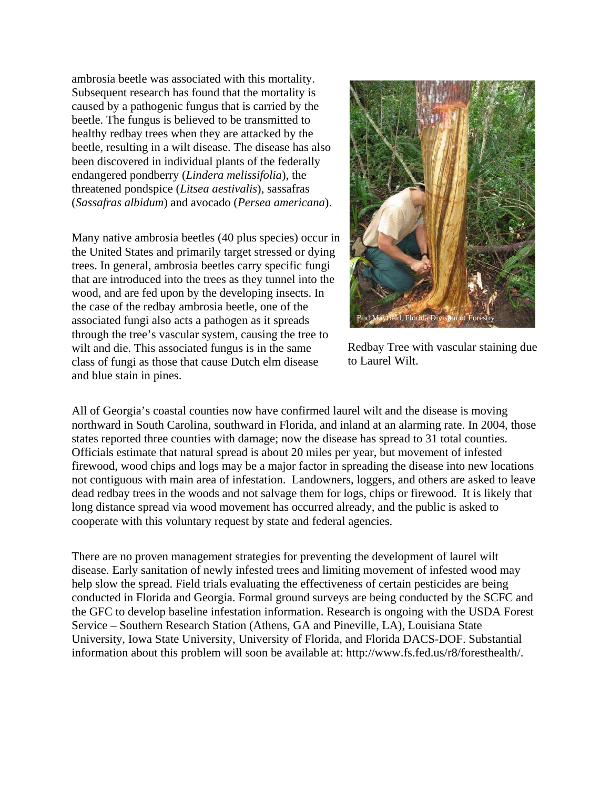ambrosia beetle was associated with this mortality. Subsequent research has found that the mortality is caused by a pathogenic fungus that is carried by the beetle. The fungus is believed to be transmitted to healthy redbay trees when they are attacked by the beetle, resulting in a wilt disease. The disease has also been discovered in individual plants of the federally endangered pondberry (*Lindera melissifolia*), the threatened pondspice (*Litsea aestivalis*), sassafras (*Sassafras albidum*) and avocado (*Persea americana*).

Many native ambrosia beetles (40 plus species) occur in the United States and primarily target stressed or dying trees. In general, ambrosia beetles carry specific fungi that are introduced into the trees as they tunnel into the wood, and are fed upon by the developing insects. In the case of the redbay ambrosia beetle, one of the associated fungi also acts a pathogen as it spreads through the tree's vascular system, causing the tree to wilt and die. This associated fungus is in the same class of fungi as those that cause Dutch elm disease and blue stain in pines.



Redbay Tree with vascular staining due to Laurel Wilt.

All of Georgia's coastal counties now have confirmed laurel wilt and the disease is moving northward in South Carolina, southward in Florida, and inland at an alarming rate. In 2004, those states reported three counties with damage; now the disease has spread to 31 total counties. Officials estimate that natural spread is about 20 miles per year, but movement of infested firewood, wood chips and logs may be a major factor in spreading the disease into new locations not contiguous with main area of infestation. Landowners, loggers, and others are asked to leave dead redbay trees in the woods and not salvage them for logs, chips or firewood. It is likely that long distance spread via wood movement has occurred already, and the public is asked to cooperate with this voluntary request by state and federal agencies.

There are no proven management strategies for preventing the development of laurel wilt disease. Early sanitation of newly infested trees and limiting movement of infested wood may help slow the spread. Field trials evaluating the effectiveness of certain pesticides are being conducted in Florida and Georgia. Formal ground surveys are being conducted by the SCFC and the GFC to develop baseline infestation information. Research is ongoing with the USDA Forest Service – Southern Research Station (Athens, GA and Pineville, LA), Louisiana State University, Iowa State University, University of Florida, and Florida DACS-DOF. Substantial information about this problem will soon be available at: http://www.fs.fed.us/r8/foresthealth/.